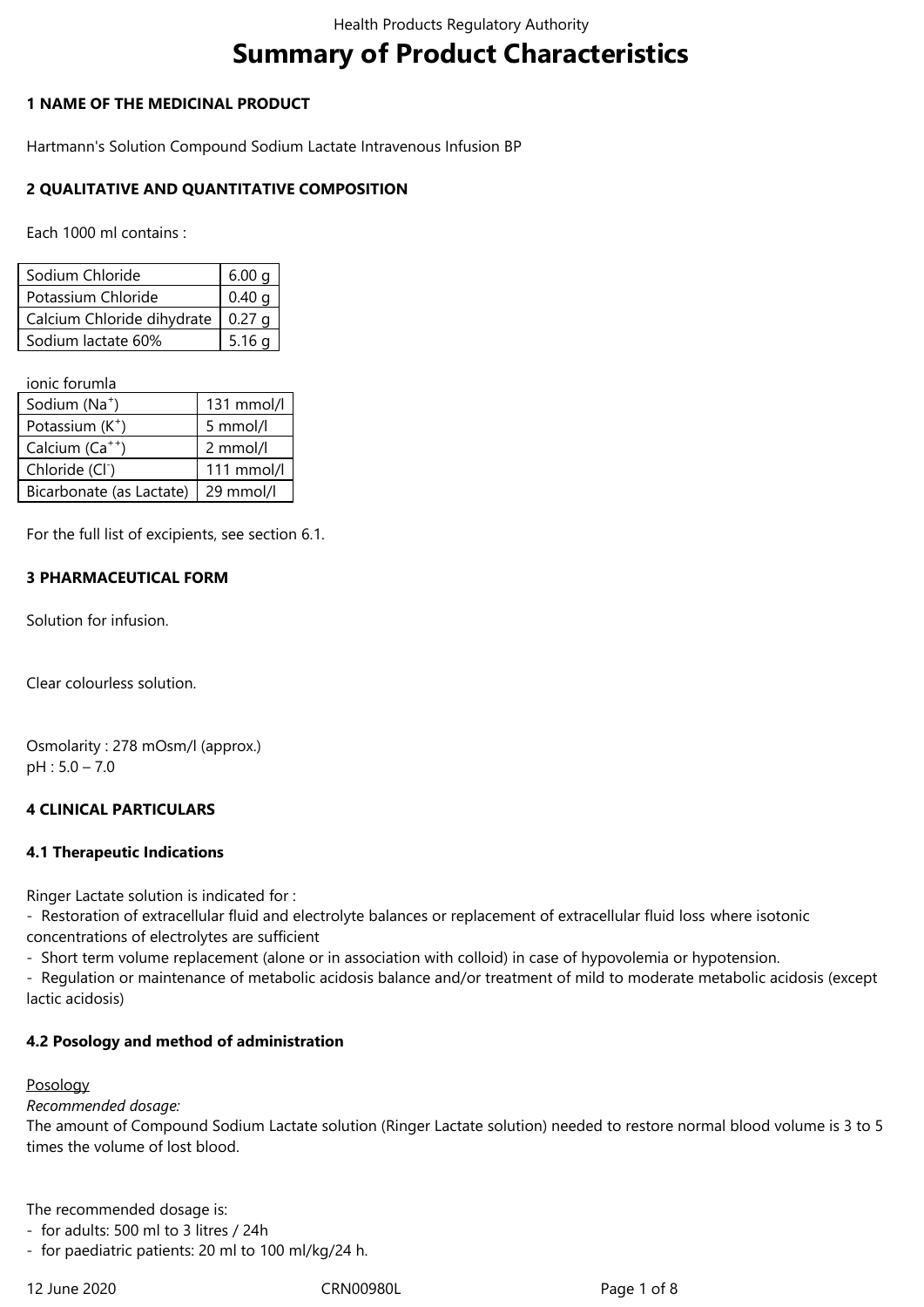# **Summary of Product Characteristics**

# **1 NAME OF THE MEDICINAL PRODUCT**

Hartmann's Solution Compound Sodium Lactate Intravenous Infusion BP

# **2 QUALITATIVE AND QUANTITATIVE COMPOSITION**

Each 1000 ml contains :

| Sodium Chloride            | 6.00 <sub>q</sub> |
|----------------------------|-------------------|
| Potassium Chloride         | 0.40 a            |
| Calcium Chloride dihydrate | $0.27 \; \alpha$  |
| Sodium lactate 60%         | 5.16a             |

ionic forumla

| Sodium (Na <sup>+</sup> )   | 131 mmol/l |
|-----------------------------|------------|
| Potassium $(K^+)$           | 5 mmol/l   |
| Calcium (Ca <sup>++</sup> ) | 2 mmol/l   |
| Chloride (Cl <sup>-</sup> ) | 111 mmol/l |
| Bicarbonate (as Lactate)    | 29 mmol/l  |

For the full list of excipients, see section 6.1.

# **3 PHARMACEUTICAL FORM**

Solution for infusion.

Clear colourless solution.

Osmolarity : 278 mOsm/l (approx.) pH : 5.0 – 7.0

# **4 CLINICAL PARTICULARS**

### **4.1 Therapeutic Indications**

Ringer Lactate solution is indicated for :

*-* Restoration of extracellular fluid and electrolyte balances or replacement of extracellular fluid loss where isotonic concentrations of electrolytes are sufficient

- Short term volume replacement (alone or in association with colloid) in case of hypovolemia or hypotension.

- Regulation or maintenance of metabolic acidosis balance and/or treatment of mild to moderate metabolic acidosis (except lactic acidosis)

### **4.2 Posology and method of administration**

### Posology

*Recommended dosage:*

The amount of Compound Sodium Lactate solution (Ringer Lactate solution) needed to restore normal blood volume is 3 to 5 times the volume of lost blood.

The recommended dosage is:

- for adults: 500 ml to 3 litres / 24h

- for paediatric patients: 20 ml to 100 ml/kg/24 h.

12 June 2020 CRN00980L Page 1 of 8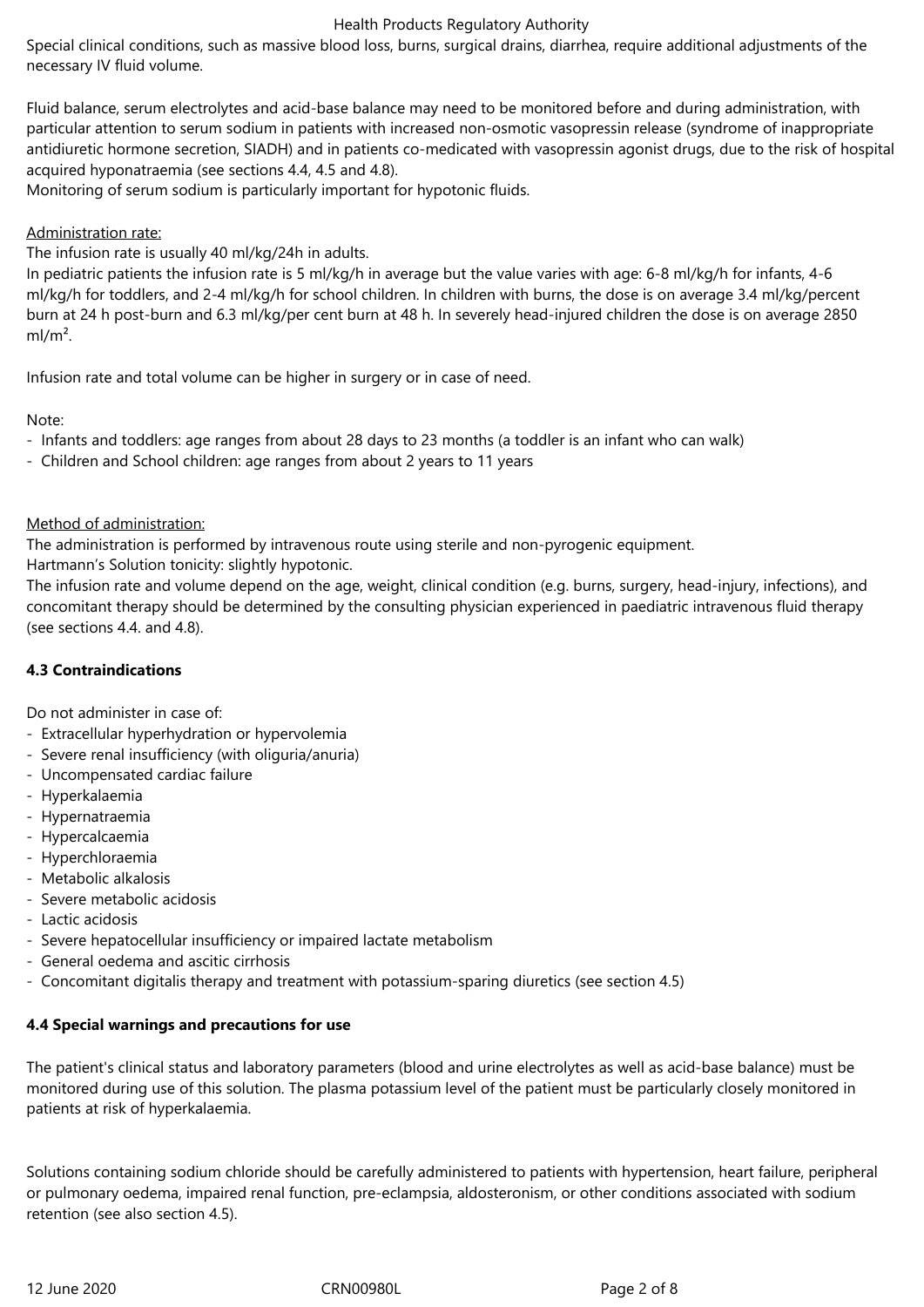Special clinical conditions, such as massive blood loss, burns, surgical drains, diarrhea, require additional adjustments of the necessary IV fluid volume.

Fluid balance, serum electrolytes and acid-base balance may need to be monitored before and during administration, with particular attention to serum sodium in patients with increased non-osmotic vasopressin release (syndrome of inappropriate antidiuretic hormone secretion, SIADH) and in patients co-medicated with vasopressin agonist drugs, due to the risk of hospital acquired hyponatraemia (see sections 4.4, 4.5 and 4.8).

Monitoring of serum sodium is particularly important for hypotonic fluids.

### Administration rate:

The infusion rate is usually 40 ml/kg/24h in adults.

In pediatric patients the infusion rate is 5 ml/kg/h in average but the value varies with age: 6‑8 ml/kg/h for infants, 4-6 ml/kg/h for toddlers, and 2-4 ml/kg/h for school children. In children with burns, the dose is on average 3.4 ml/kg/percent burn at 24 h post-burn and 6.3 ml/kg/per cent burn at 48 h. In severely head-injured children the dose is on average 2850  $ml/m<sup>2</sup>$ .

Infusion rate and total volume can be higher in surgery or in case of need.

Note:

- Infants and toddlers: age ranges from about 28 days to 23 months (a toddler is an infant who can walk)
- Children and School children: age ranges from about 2 years to 11 years

### Method of administration:

The administration is performed by intravenous route using sterile and non-pyrogenic equipment.

Hartmann's Solution tonicity: slightly hypotonic.

The infusion rate and volume depend on the age, weight, clinical condition (e.g. burns, surgery, head-injury, infections), and concomitant therapy should be determined by the consulting physician experienced in paediatric intravenous fluid therapy (see sections 4.4. and 4.8).

# **4.3 Contraindications**

Do not administer in case of:

- Extracellular hyperhydration or hypervolemia
- Severe renal insufficiency (with oliguria/anuria)
- Uncompensated cardiac failure
- Hyperkalaemia
- Hypernatraemia
- Hypercalcaemia
- Hyperchloraemia
- Metabolic alkalosis
- Severe metabolic acidosis
- Lactic acidosis
- Severe hepatocellular insufficiency or impaired lactate metabolism
- General oedema and ascitic cirrhosis
- Concomitant digitalis therapy and treatment with potassium-sparing diuretics (see section 4.5)

# **4.4 Special warnings and precautions for use**

The patient's clinical status and laboratory parameters (blood and urine electrolytes as well as acid-base balance) must be monitored during use of this solution. The plasma potassium level of the patient must be particularly closely monitored in patients at risk of hyperkalaemia.

Solutions containing sodium chloride should be carefully administered to patients with hypertension, heart failure, peripheral or pulmonary oedema, impaired renal function, pre-eclampsia, aldosteronism, or other conditions associated with sodium retention (see also section 4.5).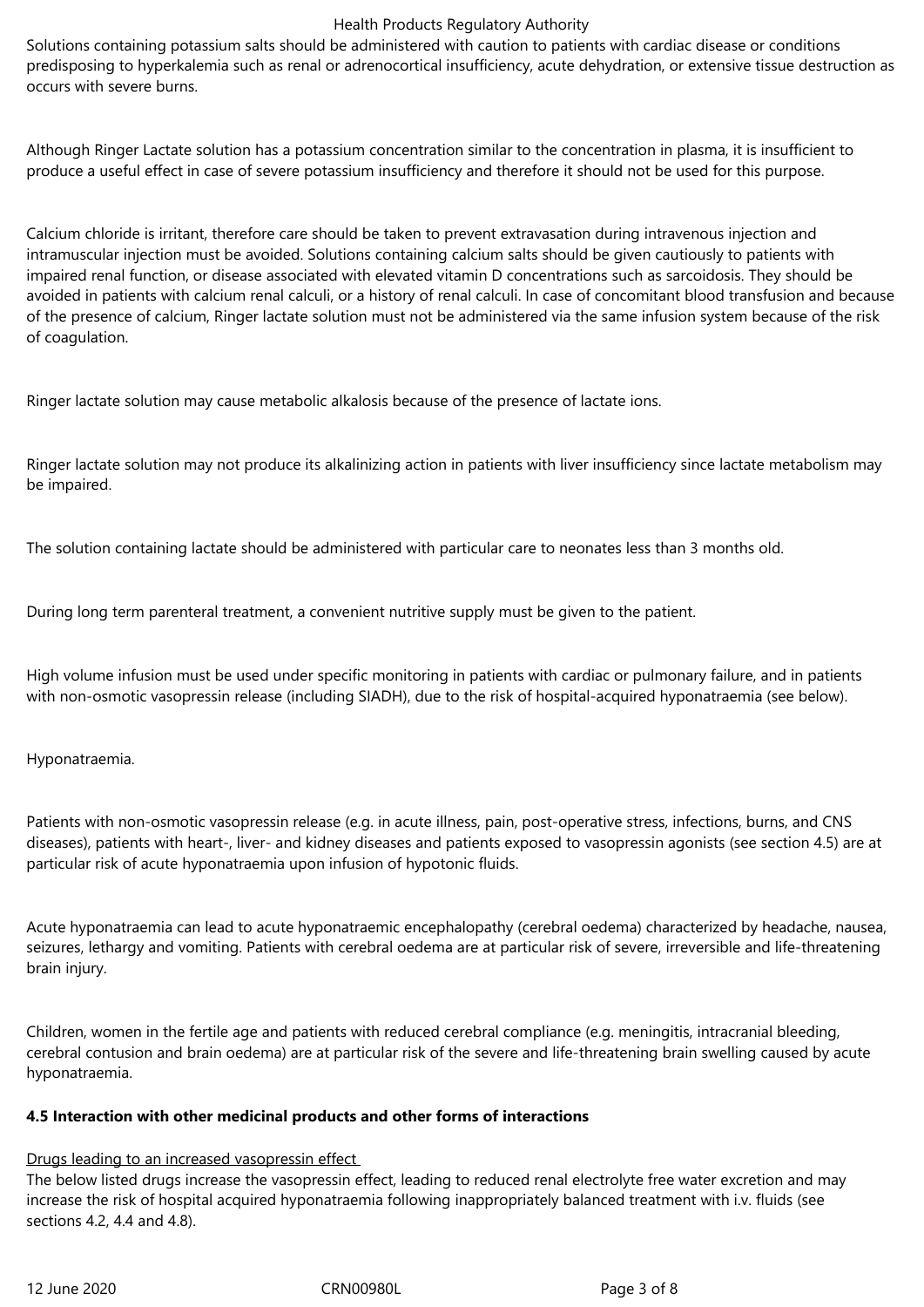Solutions containing potassium salts should be administered with caution to patients with cardiac disease or conditions predisposing to hyperkalemia such as renal or adrenocortical insufficiency, acute dehydration, or extensive tissue destruction as occurs with severe burns.

Although Ringer Lactate solution has a potassium concentration similar to the concentration in plasma, it is insufficient to produce a useful effect in case of severe potassium insufficiency and therefore it should not be used for this purpose.

Calcium chloride is irritant, therefore care should be taken to prevent extravasation during intravenous injection and intramuscular injection must be avoided. Solutions containing calcium salts should be given cautiously to patients with impaired renal function, or disease associated with elevated vitamin D concentrations such as sarcoidosis. They should be avoided in patients with calcium renal calculi, or a history of renal calculi. In case of concomitant blood transfusion and because of the presence of calcium, Ringer lactate solution must not be administered via the same infusion system because of the risk of coagulation.

Ringer lactate solution may cause metabolic alkalosis because of the presence of lactate ions.

Ringer lactate solution may not produce its alkalinizing action in patients with liver insufficiency since lactate metabolism may be impaired.

The solution containing lactate should be administered with particular care to neonates less than 3 months old.

During long term parenteral treatment, a convenient nutritive supply must be given to the patient.

High volume infusion must be used under specific monitoring in patients with cardiac or pulmonary failure, and in patients with non-osmotic vasopressin release (including SIADH), due to the risk of hospital-acquired hyponatraemia (see below).

Hyponatraemia.

Patients with non-osmotic vasopressin release (e.g. in acute illness, pain, post-operative stress, infections, burns, and CNS diseases), patients with heart-, liver- and kidney diseases and patients exposed to vasopressin agonists (see section 4.5) are at particular risk of acute hyponatraemia upon infusion of hypotonic fluids.

Acute hyponatraemia can lead to acute hyponatraemic encephalopathy (cerebral oedema) characterized by headache, nausea, seizures, lethargy and vomiting. Patients with cerebral oedema are at particular risk of severe, irreversible and life-threatening brain injury.

Children, women in the fertile age and patients with reduced cerebral compliance (e.g. meningitis, intracranial bleeding, cerebral contusion and brain oedema) are at particular risk of the severe and life-threatening brain swelling caused by acute hyponatraemia.

# **4.5 Interaction with other medicinal products and other forms of interactions**

# Drugs leading to an increased vasopressin effect

The below listed drugs increase the vasopressin effect, leading to reduced renal electrolyte free water excretion and may increase the risk of hospital acquired hyponatraemia following inappropriately balanced treatment with i.v. fluids (see sections 4.2, 4.4 and 4.8).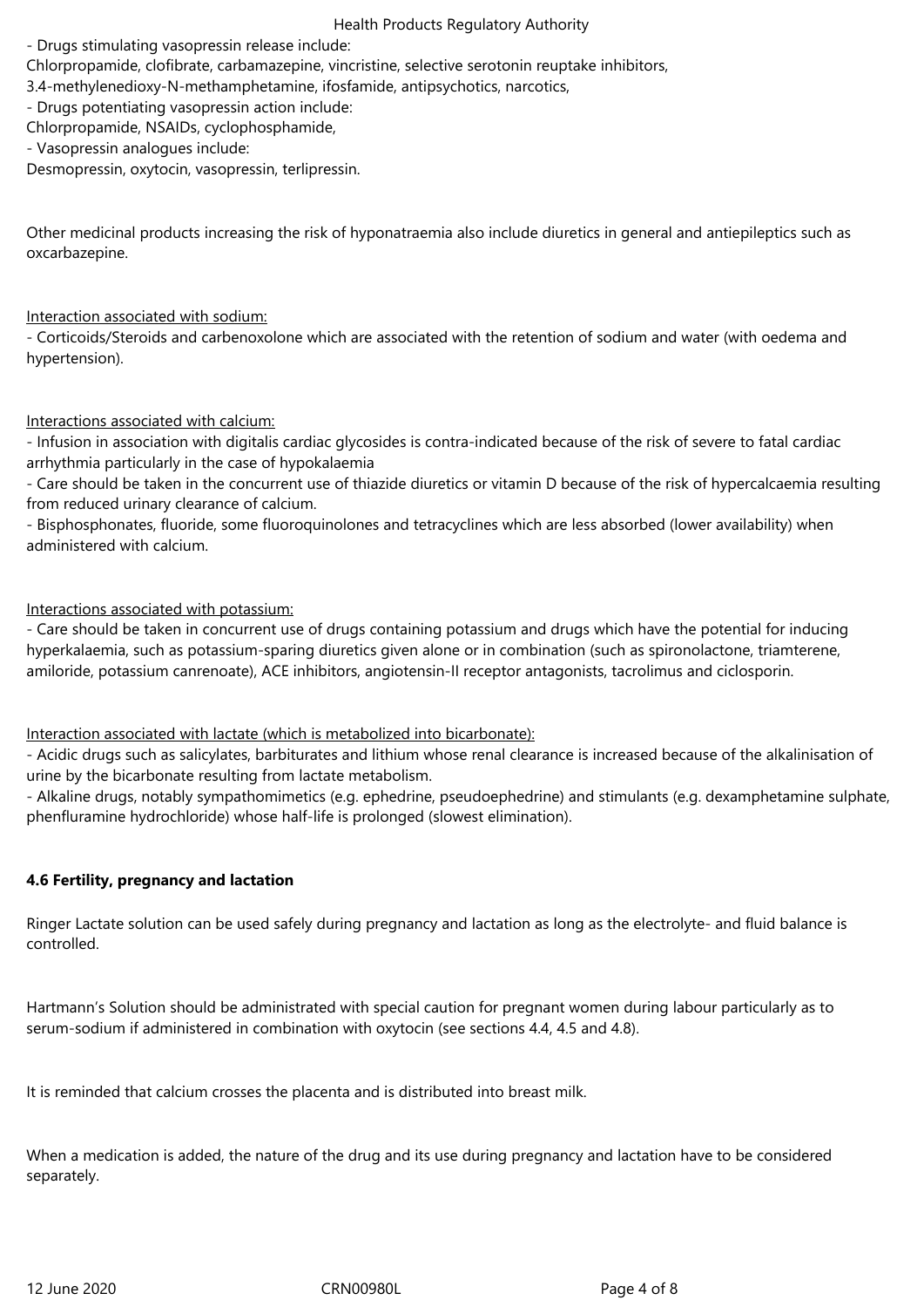- Drugs stimulating vasopressin release include:

Chlorpropamide, clofibrate, carbamazepine, vincristine, selective serotonin reuptake inhibitors,

3.4-methylenedioxy-N-methamphetamine, ifosfamide, antipsychotics, narcotics,

- Drugs potentiating vasopressin action include:

Chlorpropamide, NSAIDs, cyclophosphamide,

- Vasopressin analogues include:

Desmopressin, oxytocin, vasopressin, terlipressin.

Other medicinal products increasing the risk of hyponatraemia also include diuretics in general and antiepileptics such as oxcarbazepine.

# Interaction associated with sodium:

- Corticoids/Steroids and carbenoxolone which are associated with the retention of sodium and water (with oedema and hypertension).

# Interactions associated with calcium:

- Infusion in association with digitalis cardiac glycosides is contra-indicated because of the risk of severe to fatal cardiac arrhythmia particularly in the case of hypokalaemia

- Care should be taken in the concurrent use of thiazide diuretics or vitamin D because of the risk of hypercalcaemia resulting from reduced urinary clearance of calcium.

- Bisphosphonates, fluoride, some fluoroquinolones and tetracyclines which are less absorbed (lower availability) when administered with calcium.

# Interactions associated with potassium:

- Care should be taken in concurrent use of drugs containing potassium and drugs which have the potential for inducing hyperkalaemia, such as potassium-sparing diuretics given alone or in combination (such as spironolactone, triamterene, amiloride, potassium canrenoate), ACE inhibitors, angiotensin-II receptor antagonists, tacrolimus and ciclosporin.

### Interaction associated with lactate (which is metabolized into bicarbonate):

- Acidic drugs such as salicylates, barbiturates and lithium whose renal clearance is increased because of the alkalinisation of urine by the bicarbonate resulting from lactate metabolism.

- Alkaline drugs, notably sympathomimetics (e.g. ephedrine, pseudoephedrine) and stimulants (e.g. dexamphetamine sulphate, phenfluramine hydrochloride) whose half-life is prolonged (slowest elimination).

# **4.6 Fertility, pregnancy and lactation**

Ringer Lactate solution can be used safely during pregnancy and lactation as long as the electrolyte- and fluid balance is controlled.

Hartmann's Solution should be administrated with special caution for pregnant women during labour particularly as to serum-sodium if administered in combination with oxytocin (see sections 4.4, 4.5 and 4.8).

It is reminded that calcium crosses the placenta and is distributed into breast milk.

When a medication is added, the nature of the drug and its use during pregnancy and lactation have to be considered separately.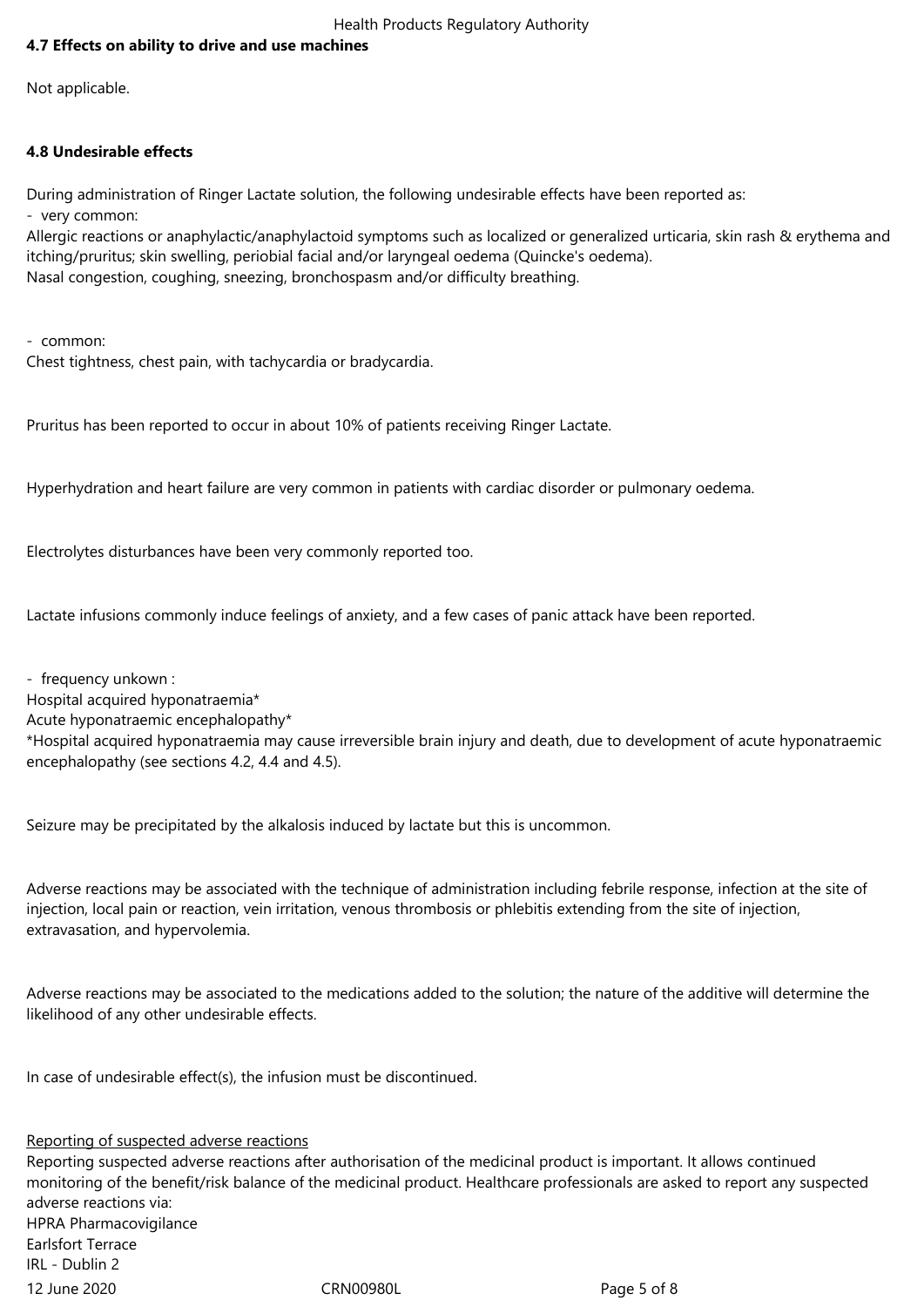# **4.7 Effects on ability to drive and use machines**

Not applicable.

# **4.8 Undesirable effects**

During administration of Ringer Lactate solution, the following undesirable effects have been reported as: - very common:

Allergic reactions or anaphylactic/anaphylactoid symptoms such as localized or generalized urticaria, skin rash & erythema and itching/pruritus; skin swelling, periobial facial and/or laryngeal oedema (Quincke's oedema). Nasal congestion, coughing, sneezing, bronchospasm and/or difficulty breathing.

- common: Chest tightness, chest pain, with tachycardia or bradycardia.

Pruritus has been reported to occur in about 10% of patients receiving Ringer Lactate.

Hyperhydration and heart failure are very common in patients with cardiac disorder or pulmonary oedema.

Electrolytes disturbances have been very commonly reported too.

Lactate infusions commonly induce feelings of anxiety, and a few cases of panic attack have been reported.

- frequency unkown :

Hospital acquired hyponatraemia\*

Acute hyponatraemic encephalopathy\*

\*Hospital acquired hyponatraemia may cause irreversible brain injury and death, due to development of acute hyponatraemic encephalopathy (see sections 4.2, 4.4 and 4.5).

Seizure may be precipitated by the alkalosis induced by lactate but this is uncommon.

Adverse reactions may be associated with the technique of administration including febrile response, infection at the site of injection, local pain or reaction, vein irritation, venous thrombosis or phlebitis extending from the site of injection, extravasation, and hypervolemia.

Adverse reactions may be associated to the medications added to the solution; the nature of the additive will determine the likelihood of any other undesirable effects.

In case of undesirable effect(s), the infusion must be discontinued.

Reporting of suspected adverse reactions

12 June 2020 CRN00980L Page 5 of 8 Reporting suspected adverse reactions after authorisation of the medicinal product is important. It allows continued monitoring of the benefit/risk balance of the medicinal product. Healthcare professionals are asked to report any suspected adverse reactions via: HPRA Pharmacovigilance Earlsfort Terrace IRL - Dublin 2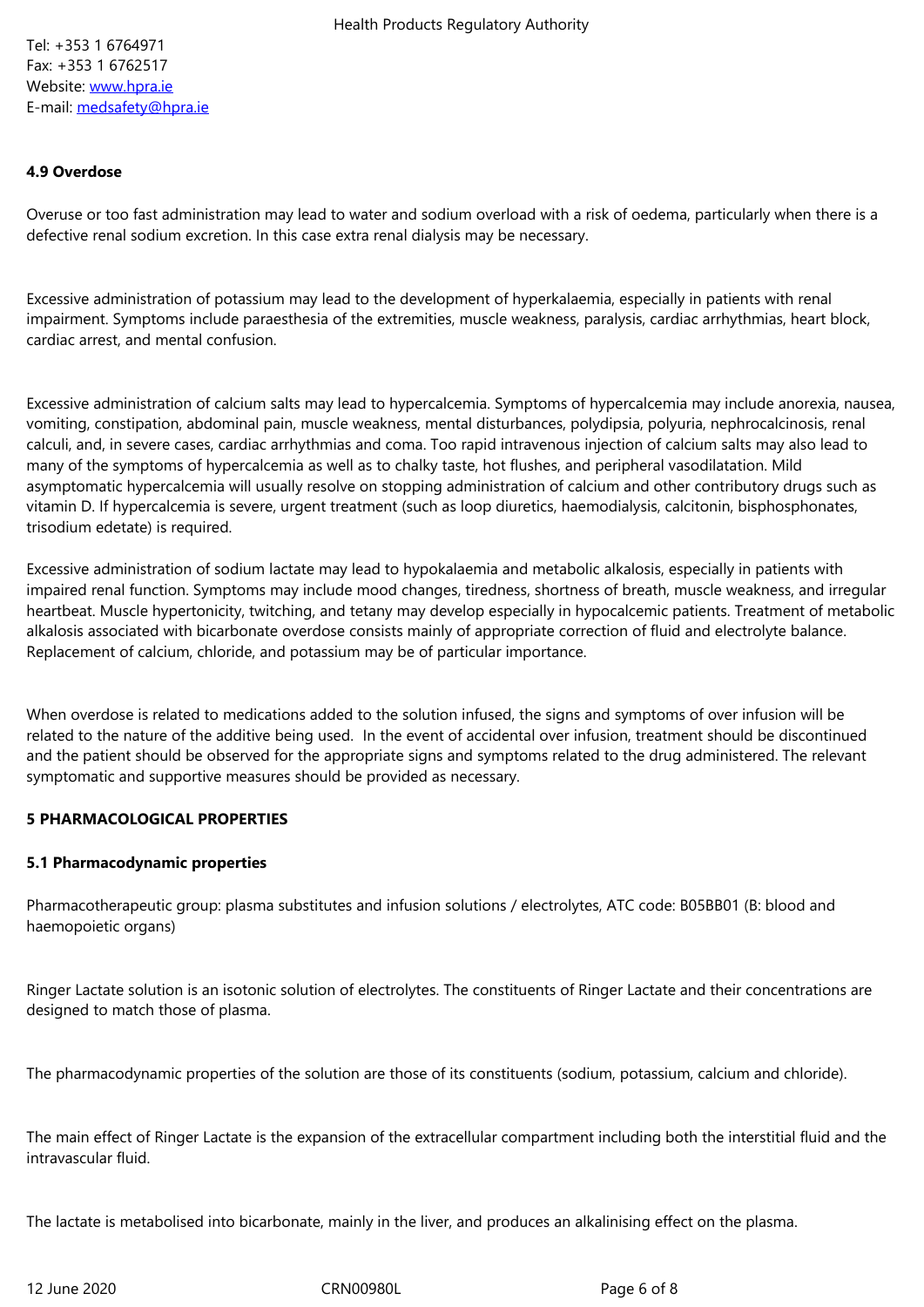Website: www.hpra.ie E-mail: medsafety@hpra.ie

### **4.9 Ov[erd](file://imbsrv-dmsprod/imbdocs9/001/015/191/medsafety@hpra.ie)[ose](file://imbsrv-dmsprod/imbdocs9/001/015/191/www.hpra.ie)**

Overuse or too fast administration may lead to water and sodium overload with a risk of oedema, particularly when there is a defective renal sodium excretion. In this case extra renal dialysis may be necessary.

Excessive administration of potassium may lead to the development of hyperkalaemia, especially in patients with renal impairment. Symptoms include paraesthesia of the extremities, muscle weakness, paralysis, cardiac arrhythmias, heart block, cardiac arrest, and mental confusion.

Excessive administration of calcium salts may lead to hypercalcemia. Symptoms of hypercalcemia may include anorexia, nausea, vomiting, constipation, abdominal pain, muscle weakness, mental disturbances, polydipsia, polyuria, nephrocalcinosis, renal calculi, and, in severe cases, cardiac arrhythmias and coma. Too rapid intravenous injection of calcium salts may also lead to many of the symptoms of hypercalcemia as well as to chalky taste, hot flushes, and peripheral vasodilatation. Mild asymptomatic hypercalcemia will usually resolve on stopping administration of calcium and other contributory drugs such as vitamin D. If hypercalcemia is severe, urgent treatment (such as loop diuretics, haemodialysis, calcitonin, bisphosphonates, trisodium edetate) is required.

Excessive administration of sodium lactate may lead to hypokalaemia and metabolic alkalosis, especially in patients with impaired renal function. Symptoms may include mood changes, tiredness, shortness of breath, muscle weakness, and irregular heartbeat. Muscle hypertonicity, twitching, and tetany may develop especially in hypocalcemic patients. Treatment of metabolic alkalosis associated with bicarbonate overdose consists mainly of appropriate correction of fluid and electrolyte balance. Replacement of calcium, chloride, and potassium may be of particular importance.

When overdose is related to medications added to the solution infused, the signs and symptoms of over infusion will be related to the nature of the additive being used. In the event of accidental over infusion, treatment should be discontinued and the patient should be observed for the appropriate signs and symptoms related to the drug administered. The relevant symptomatic and supportive measures should be provided as necessary.

### **5 PHARMACOLOGICAL PROPERTIES**

### **5.1 Pharmacodynamic properties**

Pharmacotherapeutic group: plasma substitutes and infusion solutions / electrolytes, ATC code: B05BB01 (B: blood and haemopoietic organs)

Ringer Lactate solution is an isotonic solution of electrolytes. The constituents of Ringer Lactate and their concentrations are designed to match those of plasma.

The pharmacodynamic properties of the solution are those of its constituents (sodium, potassium, calcium and chloride).

The main effect of Ringer Lactate is the expansion of the extracellular compartment including both the interstitial fluid and the intravascular fluid.

The lactate is metabolised into bicarbonate, mainly in the liver, and produces an alkalinising effect on the plasma.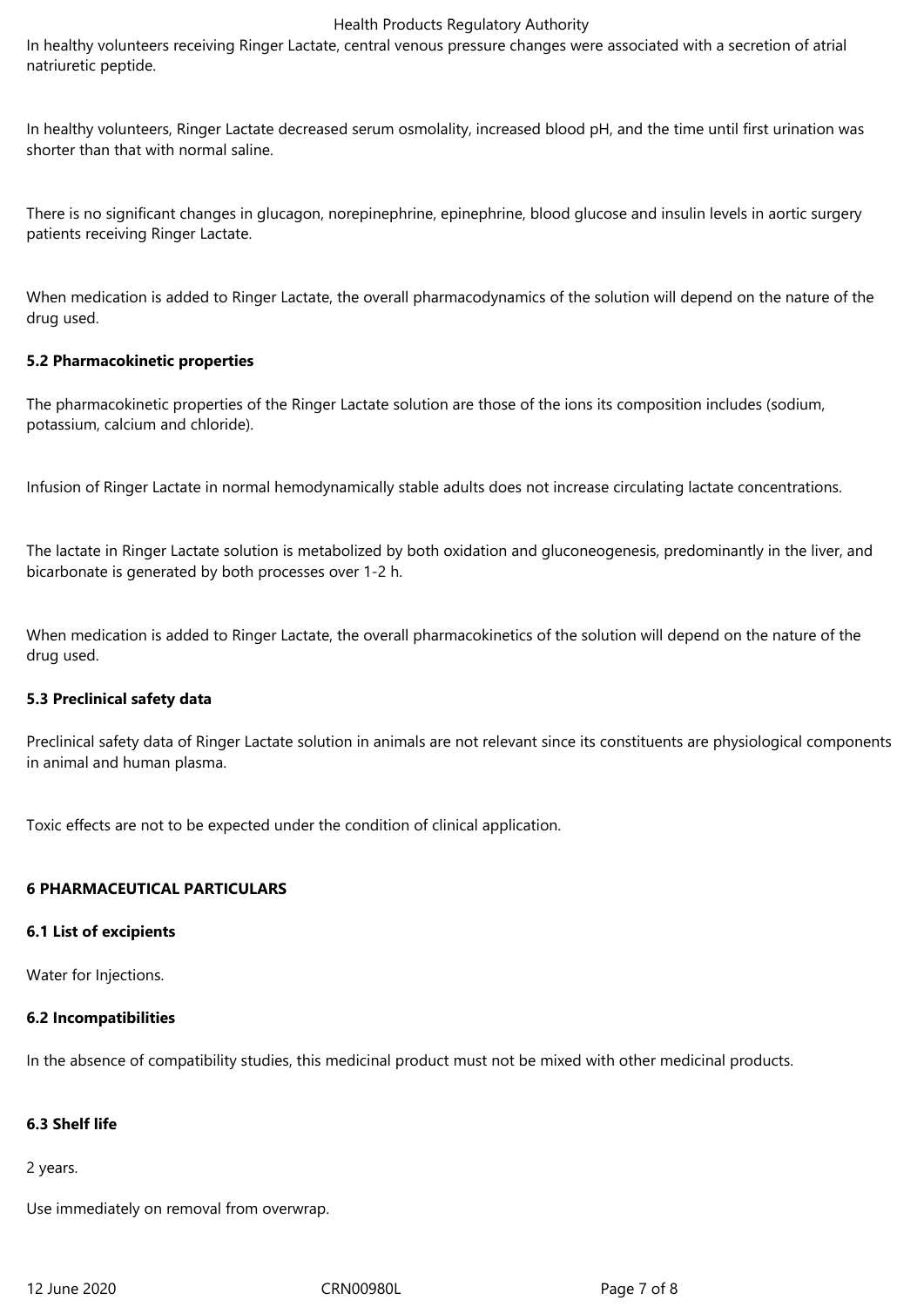In healthy volunteers receiving Ringer Lactate, central venous pressure changes were associated with a secretion of atrial natriuretic peptide.

In healthy volunteers, Ringer Lactate decreased serum osmolality, increased blood pH, and the time until first urination was shorter than that with normal saline.

There is no significant changes in glucagon, norepinephrine, epinephrine, blood glucose and insulin levels in aortic surgery patients receiving Ringer Lactate.

When medication is added to Ringer Lactate, the overall pharmacodynamics of the solution will depend on the nature of the drug used.

### **5.2 Pharmacokinetic properties**

The pharmacokinetic properties of the Ringer Lactate solution are those of the ions its composition includes (sodium, potassium, calcium and chloride).

Infusion of Ringer Lactate in normal hemodynamically stable adults does not increase circulating lactate concentrations.

The lactate in Ringer Lactate solution is metabolized by both oxidation and gluconeogenesis, predominantly in the liver, and bicarbonate is generated by both processes over 1-2 h.

When medication is added to Ringer Lactate, the overall pharmacokinetics of the solution will depend on the nature of the drug used.

### **5.3 Preclinical safety data**

Preclinical safety data of Ringer Lactate solution in animals are not relevant since its constituents are physiological components in animal and human plasma.

Toxic effects are not to be expected under the condition of clinical application.

### **6 PHARMACEUTICAL PARTICULARS**

### **6.1 List of excipients**

Water for Injections.

### **6.2 Incompatibilities**

In the absence of compatibility studies, this medicinal product must not be mixed with other medicinal products.

### **6.3 Shelf life**

2 years.

Use immediately on removal from overwrap.